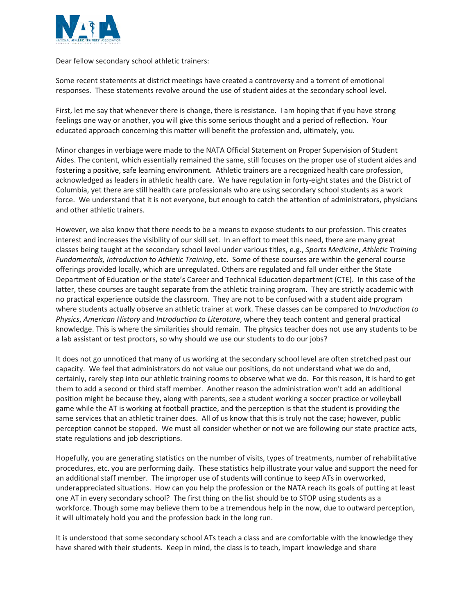

Dear fellow secondary school athletic trainers:

Some recent statements at district meetings have created a controversy and a torrent of emotional responses. These statements revolve around the use of student aides at the secondary school level.

First, let me say that whenever there is change, there is resistance. I am hoping that if you have strong feelings one way or another, you will give this some serious thought and a period of reflection. Your educated approach concerning this matter will benefit the profession and, ultimately, you.

Minor changes in verbiage were made to the NATA Official Statement on Proper Supervision of Student Aides. The content, which essentially remained the same, still focuses on the proper use of student aides and fostering a positive, safe learning environment. Athletic trainers are a recognized health care profession, acknowledged as leaders in athletic health care. We have regulation in forty-eight states and the District of Columbia, yet there are still health care professionals who are using secondary school students as a work force. We understand that it is not everyone, but enough to catch the attention of administrators, physicians and other athletic trainers.

However, we also know that there needs to be a means to expose students to our profession. This creates interest and increases the visibility of our skill set. In an effort to meet this need, there are many great classes being taught at the secondary school level under various titles, e.g., *Sports Medicine*, *Athletic Training Fundamentals, Introduction to Athletic Training*, etc. Some of these courses are within the general course offerings provided locally, which are unregulated. Others are regulated and fall under either the State Department of Education or the state's Career and Technical Education department (CTE). In this case of the latter, these courses are taught separate from the athletic training program. They are strictly academic with no practical experience outside the classroom. They are not to be confused with a student aide program where students actually observe an athletic trainer at work. These classes can be compared to *Introduction to Physics*, *American History* and *Introduction to Literature*, where they teach content and general practical knowledge. This is where the similarities should remain. The physics teacher does not use any students to be a lab assistant or test proctors, so why should we use our students to do our jobs?

It does not go unnoticed that many of us working at the secondary school level are often stretched past our capacity. We feel that administrators do not value our positions, do not understand what we do and, certainly, rarely step into our athletic training rooms to observe what we do. For this reason, it is hard to get them to add a second or third staff member. Another reason the administration won't add an additional position might be because they, along with parents, see a student working a soccer practice or volleyball game while the AT is working at football practice, and the perception is that the student is providing the same services that an athletic trainer does. All of us know that this is truly not the case; however, public perception cannot be stopped. We must all consider whether or not we are following our state practice acts, state regulations and job descriptions.

Hopefully, you are generating statistics on the number of visits, types of treatments, number of rehabilitative procedures, etc. you are performing daily. These statistics help illustrate your value and support the need for an additional staff member. The improper use of students will continue to keep ATs in overworked, underappreciated situations. How can you help the profession or the NATA reach its goals of putting at least one AT in every secondary school? The first thing on the list should be to STOP using students as a workforce. Though some may believe them to be a tremendous help in the now, due to outward perception, it will ultimately hold you and the profession back in the long run.

It is understood that some secondary school ATs teach a class and are comfortable with the knowledge they have shared with their students. Keep in mind, the class is to teach, impart knowledge and share